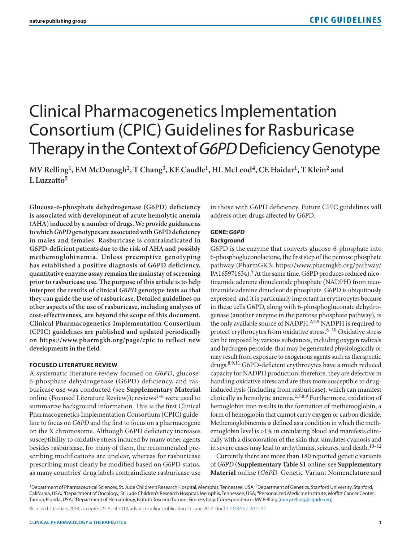# Clinical Pharmacogenetics Implementation Consortium (CPIC) Guidelines for Rasburicase Therapy in the Context of *G6PD* Deficiency Genotype

**MV Relling1, EM McDonagh2, T Chang3, KE Caudle1, HL McLeod4, CE Haidar1, T Klein2 and L Luzzatto5**

**Glucose-6-phosphate dehydrogenase (G6PD) deficiency is associated with development of acute hemolytic anemia (AHA) induced by a number of drugs. We provide guidance as to which** *G6PD* **genotypes are associated with G6PD deficiency in males and females. Rasburicase is contraindicated in G6PD-deficient patients due to the risk of AHA and possibly methemoglobinemia. Unless preemptive genotyping has established a positive diagnosis of G6PD deficiency, quantitative enzyme assay remains the mainstay of screening prior to rasburicase use. The purpose of this article is to help interpret the results of clinical** *G6PD* **genotype tests so that they can guide the use of rasburicase. Detailed guidelines on other aspects of the use of rasburicase, including analyses of cost-effectiveness, are beyond the scope of this document. Clinical Pharmacogenetics Implementation Consortium (CPIC) guidelines are published and updated periodically on <https://www.pharmgkb.org/page/cpic> to reflect new developments in the field.**

#### **FOCUSED LITERATURE REVIEW**

A systematic literature review focused on *G6PD*, glucose-6-phosphate dehydrogenase (G6PD) deficiency, and rasburicase use was conducted (see **Supplementary Material** online (Focused Literature Review)); reviews $1-8$  were used to summarize background information. This is the first Clinical Pharmacogenetics Implementation Consortium (CPIC) guideline to focus on *G6PD* and the first to focus on a pharmacogene on the X chromosome. Although G6PD deficiency increases susceptibility to oxidative stress induced by many other agents besides rasburicase, for many of them, the recommended prescribing modifications are unclear, whereas for rasburicase prescribing must clearly be modified based on G6PD status, as many countries' drug labels contraindicate rasburicase use in those with G6PD deficiency. Future CPIC guidelines will address other drugs affected by G6PD.

# **GENE:** *G6PD* **Background**

G6PD is the enzyme that converts glucose-6-phosphate into 6-phosphogluconolactone, the first step of the pentose phosphate pathway (PharmGKB; [https://www.pharmgkb.org/pathway/](https://www.pharmgkb.org/pathway/PA165971634) [PA165971634](https://www.pharmgkb.org/pathway/PA165971634)).<sup>5</sup> At the same time, G6PD produces reduced nicotinamide adenine dinucleotide phosphate (NADPH) from nicotinamide adenine dinucleotide phosphate. G6PD is ubiquitously expressed, and it is particularly important in erythrocytes because in these cells G6PD, along with 6-phosphogluconate dehydrogenase (another enzyme in the pentose phosphate pathway), is the only available source of NADPH.<sup>2,3,9</sup> NADPH is required to protect erythrocytes from oxidative stress. $8-10$  Oxidative stress can be imposed by various substances, including oxygen radicals and hydrogen peroxide, that may be generated physiologically or may result from exposure to exogenous agents such as therapeutic drugs.8,9,11 G6PD-deficient erythrocytes have a much reduced capacity for NADPH production; therefore, they are defective in handling oxidative stress and are thus more susceptible to druginduced lysis (including from rasburicase), which can manifest clinically as hemolytic anemia.<sup>2,3,8,9</sup> Furthermore, oxidation of hemoglobin iron results in the formation of methemoglobin, a form of hemoglobin that cannot carry oxygen or carbon dioxide. Methemoglobinemia is defined as a condition in which the methemoglobin level is >1% in circulating blood and manifests clinically with a discoloration of the skin that simulates cyanosis and in severe cases may lead to arrhythmias, seizures, and death.<sup>10-12</sup>

Currently there are more than 180 reported genetic variants of *G6PD* (**Supplementary Table S1** online; see **Supplementary Material** online (*G6PD* Genetic Variant Nomenclature and

<sup>1</sup>Department of Pharmaceutical Sciences, St. Jude Children's Research Hospital, Memphis, Tennessee, USA; <sup>2</sup>Department of Genetics, Stanford University, Stanford, California, USA;<sup>3</sup>Department of Oncology, St. Jude Children's Research Hospital, Memphis, Tennessee, USA; <sup>4</sup>Personalized Medicine Institute, Moffitt Cancer Center, Tampa, Florida, USA; <sup>5</sup>Department of Hematology, Istituto Toscano Tumori, Firenze, Italy. Correspondence: MV Relling [\(mary.relling@stjude.org\)](mailto:mary.relling@stjude.org)

Received 2 January 2014; accepted 27 April 2014; advance online publication 11 June 2014. doi[:10.1038/clpt.2014.97](http://www.nature.com/doifinder/10.1038/clpt.2014.97)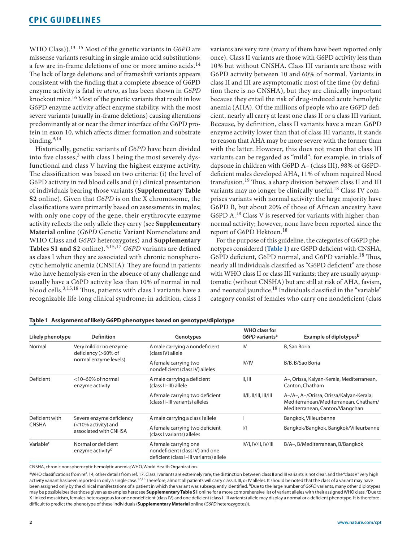WHO Class)).13–15 Most of the genetic variants in *G6PD* are missense variants resulting in single amino acid substitutions; a few are in-frame deletions of one or more amino acids.<sup>14</sup> The lack of large deletions and of frameshift variants appears consistent with the finding that a complete absence of G6PD enzyme activity is fatal *in utero*, as has been shown in *G6PD* knockout mice.<sup>16</sup> Most of the genetic variants that result in low G6PD enzyme activity affect enzyme stability, with the most severe variants (usually in-frame deletions) causing alterations predominantly at or near the dimer interface of the G6PD protein in exon 10, which affects dimer formation and substrate binding. $9,14$ 

Historically, genetic variants of *G6PD* have been divided into five classes, $3$  with class I being the most severely dysfunctional and class V having the highest enzyme activity. The classification was based on two criteria: (i) the level of G6PD activity in red blood cells and (ii) clinical presentation of individuals bearing those variants (**Supplementary Table S2** online). Given that *G6PD* is on the X chromosome, the classifications were primarily based on assessments in males; with only one copy of the gene, their erythrocyte enzyme activity reflects the only allele they carry (see **Supplementary Material** online (*G6PD* Genetic Variant Nomenclature and WHO Class and *G6PD* heterozygotes) and **Supplementary Tables S1 and S2** online).3,15,17 *G6PD* variants are defined as class I when they are associated with chronic nonspherocytic hemolytic anemia (CNSHA): They are found in patients who have hemolysis even in the absence of any challenge and usually have a G6PD activity less than 10% of normal in red blood cells.3,15,18 Thus, patients with class I variants have a recognizable life-long clinical syndrome; in addition, class I variants are very rare (many of them have been reported only once). Class II variants are those with G6PD activity less than 10% but without CNSHA. Class III variants are those with G6PD activity between 10 and 60% of normal. Variants in class II and III are asymptomatic most of the time (by definition there is no CNSHA), but they are clinically important because they entail the risk of drug-induced acute hemolytic anemia (AHA). Of the millions of people who are G6PD deficient, nearly all carry at least one class II or a class III variant. Because, by definition, class II variants have a mean G6PD enzyme activity lower than that of class III variants, it stands to reason that AHA may be more severe with the former than with the latter. However, this does not mean that class III variants can be regarded as "mild"; for example, in trials of dapsone in children with G6PD A– (class III), 98% of G6PDdeficient males developed AHA, 11% of whom required blood transfusion.19 Thus, a sharp division between class II and III variants may no longer be clinically useful.<sup>18</sup> Class IV comprises variants with normal activity: the large majority have G6PD B, but about 20% of those of African ancestry have G6PD A. $^{18}$  Class V is reserved for variants with higher-thannormal activity; however, none have been reported since the report of G6PD Hektoen.<sup>18</sup>

For the purpose of this guideline, the categories of G6PD phenotypes considered (**[Table 1](#page-1-0)**) are G6PD deficient with CNSHA, G6PD deficient, G6PD normal, and G6PD variable.<sup>18</sup> Thus, nearly all individuals classified as "G6PD deficient" are those with WHO class II or class III variants; they are usually asymptomatic (without CNSHA) but are still at risk of AHA, favism, and neonatal jaundice.<sup>18</sup> Individuals classified in the "variable" category consist of females who carry one nondeficient (class

| Likely phenotype      | <b>Definition</b>                                   | Genotypes                                                                                           | <b>WHO</b> class for<br>G6PD variants <sup>a</sup> | Example of diplotypes <sup>b</sup>                                                                                  |
|-----------------------|-----------------------------------------------------|-----------------------------------------------------------------------------------------------------|----------------------------------------------------|---------------------------------------------------------------------------------------------------------------------|
| Normal                | Very mild or no enzyme<br>deficiency (>60% of       | A male carrying a nondeficient<br>(class IV) allele                                                 | IV                                                 | B. Sao Boria                                                                                                        |
|                       | normal enzyme levels)                               | A female carrying two<br>nondeficient (class IV) alleles                                            | <b>IV/IV</b>                                       | B/B, B/Sao Boria                                                                                                    |
| Deficient             | $<$ 10-60% of normal<br>enzyme activity             | A male carrying a deficient<br>(class II-III) allele                                                | II, III                                            | A-, Orissa, Kalyan-Kerala, Mediterranean,<br>Canton, Chatham                                                        |
|                       |                                                     | A female carrying two deficient<br>(class II-III variants) alleles                                  | 11/11, 11/111, 111/111                             | A-/A-, A-/Orissa, Orissa/Kalyan-Kerala,<br>Mediterranean/Mediterranean, Chatham/<br>Mediterranean, Canton/Viangchan |
| Deficient with        | Severe enzyme deficiency                            | A male carrying a class I allele                                                                    |                                                    | Bangkok, Villeurbanne                                                                                               |
| <b>CNSHA</b>          | (<10% activity) and<br>associated with CNHSA        | A female carrying two deficient<br>(class I variants) alleles                                       | $\frac{1}{1}$                                      | Bangkok/Bangkok, Bangkok/Villeurbanne                                                                               |
| Variable <sup>c</sup> | Normal or deficient<br>enzyme activity <sup>c</sup> | A female carrying one<br>nondeficient (class IV) and one<br>deficient (class I-III variants) allele | IV/I, IV/II, IV/III                                | B/A-, B/Mediterranean, B/Bangkok                                                                                    |

# <span id="page-1-0"></span>**Table 1 Assignment of likely G6PD phenotypes based on genotype/diplotype** •

CNSHA, chronic nonspherocytic hemolytic anemia; WHO, World Health Organization.

aWHO classifications from ref. 14, other details from ref. 17. Class I variants are extremely rare; the distinction between class II and III variants is not clear, and the "class V" very high activity variant has been reported in only a single case.<sup>17,18</sup> Therefore, almost all patients will carry class II, III, or IV alleles. It should be noted that the class of a variant may have been assigned only by the clinical manifestations of a patient in which the variant was subsequently identified. <sup>b</sup>Due to the large number of *G6PD* variants, many other diplotypes may be possible besides those given as examples here; see **Supplementary Table S1** online for a more comprehensive list of variant alleles with their assigned WHO class. cDue to X-linked mosaicism, females heterozygous for one nondeficient (class IV) and one deficient (class I–III variants) allele may display a normal or a deficient phenotype. It is therefore difficult to predict the phenotype of these individuals (**Supplementary Material** online (*G6PD* heterozygotes)).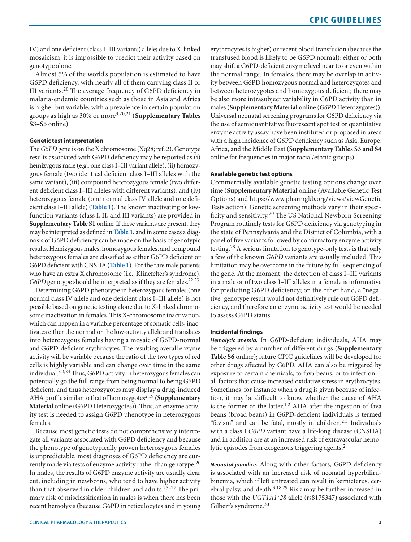IV) and one deficient (class I–III variants) allele; due to X-linked mosaicism, it is impossible to predict their activity based on genotype alone.

Almost 5% of the world's population is estimated to have G6PD deficiency, with nearly all of them carrying class II or III variants.20 The average frequency of G6PD deficiency in malaria-endemic countries such as those in Asia and Africa is higher but variable, with a prevalence in certain population groups as high as 30% or more3,20,21 (**Supplementary Tables S3–S5** online).

# **Genetic test interpretation**

The *G6PD* gene is on the X chromosome (Xq28; ref. 2). Genotype results associated with G6PD deficiency may be reported as (i) hemizygous male (e.g., one class I–III variant allele), (ii) homozygous female (two identical deficient class I–III alleles with the same variant), (iii) compound heterozygous female (two different deficient class I–III alleles with different variants), and (iv) heterozygous female (one normal class IV allele and one deficient class I–III allele) (**[Table 1](#page-1-0)**). The known inactivating or lowfunction variants (class I, II, and III variants) are provided in **Supplementary Table S1** online. If these variants are present, they may be interpreted as defined in **[Table 1](#page-1-0)**, and in some cases a diagnosis of G6PD deficiency can be made on the basis of genotypic results. Hemizygous males, homozygous females, and compound heterozygous females are classified as either G6PD deficient or G6PD deficient with CNSHA (**[Table 1](#page-1-0)**). For the rare male patients who have an extra X chromosome (i.e., Klinefelter's syndrome), *G6PD* genotype should be interpreted as if they are females.<sup>22,23</sup>

Determining G6PD phenotype in heterozygous females (one normal class IV allele and one deficient class I–III allele) is not possible based on genetic testing alone due to X-linked chromosome inactivation in females. This X-chromosome inactivation, which can happen in a variable percentage of somatic cells, inactivates either the normal or the low-activity allele and translates into heterozygous females having a mosaic of G6PD-normal and G6PD-deficient erythrocytes. The resulting overall enzyme activity will be variable because the ratio of the two types of red cells is highly variable and can change over time in the same individual.2,3,24 Thus, G6PD activity in heterozygous females can potentially go the full range from being normal to being G6PD deficient, and thus heterozygotes may display a drug-induced AHA profile similar to that of homozygotes<sup>2,19</sup> (Supplementary **Material** online (G6PD Heterozygotes)). Thus, an enzyme activity test is needed to assign G6PD phenotype in heterozygous females.

Because most genetic tests do not comprehensively interrogate all variants associated with G6PD deficiency and because the phenotype of genotypically proven heterozygous females is unpredictable, most diagnoses of G6PD deficiency are currently made via tests of enzyme activity rather than genotype. $20$ In males, the results of G6PD enzyme activity are usually clear cut, including in newborns, who tend to have higher activity than that observed in older children and adults.25–27 The primary risk of misclassification in males is when there has been recent hemolysis (because G6PD in reticulocytes and in young erythrocytes is higher) or recent blood transfusion (because the transfused blood is likely to be G6PD normal); either or both may shift a G6PD-deficient enzyme level near to or even within the normal range. In females, there may be overlap in activity between G6PD homozygous normal and heterozygotes and between heterozygotes and homozygous deficient; there may be also more intrasubject variability in G6PD activity than in males (**Supplementary Material** online (*G6PD* Heterozygotes)). Universal neonatal screening programs for G6PD deficiency via the use of semiquantitative fluorescent spot test or quantitative enzyme activity assay have been instituted or proposed in areas with a high incidence of G6PD deficiency such as Asia, Europe, Africa, and the Middle East (**Supplementary Tables S3 and S4** online for frequencies in major racial/ethnic groups).

#### **Available genetic test options**

Commercially available genetic testing options change over time (**Supplementary Material** online (Available Genetic Test Options) and [https://www.pharmgkb.org/views/viewGenetic](https://www.pharmgkb.org/views/viewGenetic
Tests.action) [Tests.action](https://www.pharmgkb.org/views/viewGenetic
Tests.action)). Genetic screening methods vary in their specificity and sensitivity.<sup>20</sup> The US National Newborn Screening Program routinely tests for G6PD deficiency via genotyping in the state of Pennsylvania and the District of Columbia, with a panel of five variants followed by confirmatory enzyme activity testing.28 A serious limitation to genotype-only tests is that only a few of the known *G6PD* variants are usually included. This limitation may be overcome in the future by full sequencing of the gene. At the moment, the detection of class I–III variants in a male or of two class I–III alleles in a female is informative for predicting G6PD deficiency; on the other hand, a "negative" genotype result would not definitively rule out G6PD deficiency, and therefore an enzyme activity test would be needed to assess G6PD status.

#### **Incidental findings**

*Hemolytic anemia.* In G6PD-deficient individuals, AHA may be triggered by a number of different drugs (**Supplementary Table S6** online); future CPIC guidelines will be developed for other drugs affected by G6PD. AHA can also be triggered by exposure to certain chemicals, to fava beans, or to infection all factors that cause increased oxidative stress in erythrocytes. Sometimes, for instance when a drug is given because of infection, it may be difficult to know whether the cause of AHA is the former or the latter.<sup>1,2</sup> AHA after the ingestion of fava beans (broad beans) in G6PD-deficient individuals is termed "favism" and can be fatal, mostly in children. $2,3$  Individuals with a class I *G6PD* variant have a life-long disease (CNSHA) and in addition are at an increased risk of extravascular hemolytic episodes from exogenous triggering agents.<sup>2</sup>

*Neonatal jaundice.* Along with other factors, G6PD deficiency is associated with an increased risk of neonatal hyperbilirubinemia, which if left untreated can result in kernicterus, cerebral palsy, and death.<sup>3,18,29</sup> Risk may be further increased in those with the *UGT1A1\*28* allele (rs8175347) associated with Gilbert's syndrome.<sup>30</sup>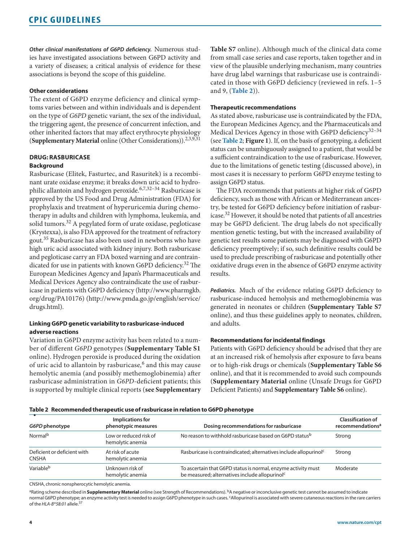*Other clinical manifestations of G6PD deficiency.* Numerous studies have investigated associations between G6PD activity and a variety of diseases; a critical analysis of evidence for these associations is beyond the scope of this guideline.

# **Other considerations**

The extent of G6PD enzyme deficiency and clinical symptoms varies between and within individuals and is dependent on the type of *G6PD* genetic variant, the sex of the individual, the triggering agent, the presence of concurrent infection, and other inherited factors that may affect erythrocyte physiology (**Supplementary Material** online (Other Considerations)).<sup>2,3,9,31</sup>

# **DRUG: RASBURICASE Background**

Rasburicase (Elitek, Fasturtec, and Rasuritek) is a recombinant urate oxidase enzyme; it breaks down uric acid to hydrophilic allantoin and hydrogen peroxide.<sup>6,7,32-34</sup> Rasburicase is approved by the US Food and Drug Administration (FDA) for prophylaxis and treatment of hyperuricemia during chemotherapy in adults and children with lymphoma, leukemia, and solid tumors.32 A pegylated form of urate oxidase, pegloticase (Krystexxa), is also FDA approved for the treatment of refractory gout.35 Rasburicase has also been used in newborns who have high uric acid associated with kidney injury. Both rasburicase and pegloticase carry an FDA boxed warning and are contraindicated for use in patients with known G6PD deficiency.<sup>32</sup> The European Medicines Agency and Japan's Pharmaceuticals and Medical Devices Agency also contraindicate the use of rasburicase in patients with G6PD deficiency [\(http://www.pharmgkb.](http://www.pharmgkb.org/drug/PA10176) [org/drug/PA10176\)](http://www.pharmgkb.org/drug/PA10176) [\(http://www.pmda.go.jp/english/service/](http://www.pmda.go.jp/english/service/drugs.html) [drugs.html\)](http://www.pmda.go.jp/english/service/drugs.html).

# **Linking G6PD genetic variability to rasburicase-induced adverse reactions**

Variation in G6PD enzyme activity has been related to a number of different *G6PD* genotypes (**Supplementary Table S1** online). Hydrogen peroxide is produced during the oxidation of uric acid to allantoin by rasburicase,<sup>6</sup> and this may cause hemolytic anemia (and possibly methemoglobinemia) after rasburicase administration in *G6PD*-deficient patients; this is supported by multiple clinical reports (**see Supplementary**  **Table S7** online). Although much of the clinical data come from small case series and case reports, taken together and in view of the plausible underlying mechanism, many countries have drug label warnings that rasburicase use is contraindicated in those with G6PD deficiency (reviewed in refs. 1–5 and 9, (**[Table 2](#page-3-0)**)).

# **Therapeutic recommendations**

As stated above, rasburicase use is contraindicated by the FDA, the European Medicines Agency, and the Pharmaceuticals and Medical Devices Agency in those with G6PD deficiency<sup>32-34</sup> (see **[Table 2](#page-3-0)**; **Figure 1**). If, on the basis of genotyping, a deficient status can be unambiguously assigned to a patient, that would be a sufficient contraindication to the use of rasburicase. However, due to the limitations of genetic testing (discussed above), in most cases it is necessary to perform G6PD enzyme testing to assign G6PD status.

The FDA recommends that patients at higher risk of G6PD deficiency, such as those with African or Mediterranean ancestry, be tested for G6PD deficiency before initiation of rasburicase.32 However, it should be noted that patients of all ancestries may be G6PD deficient. The drug labels do not specifically mention genetic testing, but with the increased availability of genetic test results some patients may be diagnosed with G6PD deficiency preemptively; if so, such definitive results could be used to preclude prescribing of rasburicase and potentially other oxidative drugs even in the absence of G6PD enzyme activity results.

*Pediatrics.* Much of the evidence relating G6PD deficiency to rasburicase-induced hemolysis and methemoglobinemia was generated in neonates or children **(Supplementary Table S7** online), and thus these guidelines apply to neonates, children, and adults.

# **Recommendations for incidental findings**

Patients with G6PD deficiency should be advised that they are at an increased risk of hemolysis after exposure to fava beans or to high-risk drugs or chemicals (**Supplementary Table S6** online), and that it is recommended to avoid such compounds (**Supplementary Material** online (Unsafe Drugs for G6PD Deficient Patients) and **Supplementary Table S6** online).

#### **Table 2 Recommended therapeutic use of rasburicase in relation to G6PD phenotype**

<span id="page-3-0"></span>

|                                             |                                            | . .                                                                                                                         |                                                          |
|---------------------------------------------|--------------------------------------------|-----------------------------------------------------------------------------------------------------------------------------|----------------------------------------------------------|
| G6PD phenotype                              | Implications for<br>phenotypic measures    | Dosing recommendations for rasburicase                                                                                      | <b>Classification of</b><br>recommendations <sup>a</sup> |
| Normal <sup>b</sup>                         | Low or reduced risk of<br>hemolytic anemia | No reason to withhold rasburicase based on G6PD status <sup>b</sup>                                                         | Strong                                                   |
| Deficient or deficient with<br><b>CNSHA</b> | At risk of acute<br>hemolytic anemia       | Rasburicase is contraindicated; alternatives include allopurinol <sup>c</sup>                                               | Strong                                                   |
| Variable <sup>b</sup>                       | Unknown risk of<br>hemolytic anemia        | To ascertain that G6PD status is normal, enzyme activity must<br>be measured; alternatives include allopurinol <sup>c</sup> | Moderate                                                 |

CNSHA, chronic nonspherocytic hemolytic anemia.

aRating scheme described in **Supplementary Material** online (see Strength of Recommendations). <sup>b</sup>A negative or inconclusive genetic test cannot be assumed to indicate normal G6PD phenotype; an enzyme activity test is needed to assign G6PD phenotype in such cases. cAllopurinol is associated with severe cutaneous reactions in the rare carriers of the *HLA-B\*58:01* allele.37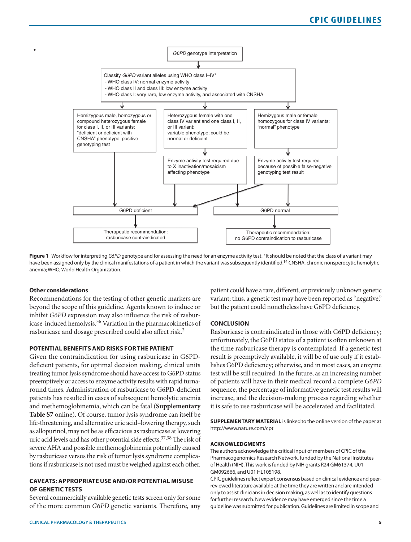

**Figure 1** Workflow for interpreting *G6PD* genotype and for assessing the need for an enzyme activity test. \*It should be noted that the class of a variant may have been assigned only by the clinical manifestations of a patient in which the variant was subsequently identified.<sup>14</sup> CNSHA, chronic nonsperocytic hemolytic anemia; WHO, World Health Organization.

#### **Other considerations**

• 

Recommendations for the testing of other genetic markers are beyond the scope of this guideline. Agents known to induce or inhibit *G6PD* expression may also influence the risk of rasburicase-induced hemolysis.36 Variation in the pharmacokinetics of rasburicase and dosage prescribed could also affect risk.<sup>2</sup>

# **POTENTIAL BENEFITS AND RISKS FOR THE PATIENT**

Given the contraindication for using rasburicase in G6PDdeficient patients, for optimal decision making, clinical units treating tumor lysis syndrome should have access to G6PD status preemptively or access to enzyme activity results with rapid turnaround times. Administration of rasburicase to G6PD-deficient patients has resulted in cases of subsequent hemolytic anemia and methemoglobinemia, which can be fatal (**Supplementary Table S7** online). Of course, tumor lysis syndrome can itself be life-threatening, and alternative uric acid–lowering therapy, such as allopurinol, may not be as efficacious as rasburicase at lowering uric acid levels and has other potential side effects.<sup>37,38</sup> The risk of severe AHA and possible methemoglobinemia potentially caused by rasburicase versus the risk of tumor lysis syndrome complications if rasburicase is not used must be weighed against each other.

# **CAVEATS: APPROPRIATE USE AND/OR POTENTIAL MISUSE OF GENETIC TESTS**

Several commercially available genetic tests screen only for some of the more common *G6PD* genetic variants. Therefore, any patient could have a rare, different, or previously unknown genetic variant; thus, a genetic test may have been reported as "negative," but the patient could nonetheless have G6PD deficiency.

#### **CONCLUSION**

Rasburicase is contraindicated in those with G6PD deficiency; unfortunately, the G6PD status of a patient is often unknown at the time rasburicase therapy is contemplated. If a genetic test result is preemptively available, it will be of use only if it establishes G6PD deficiency; otherwise, and in most cases, an enzyme test will be still required. In the future, as an increasing number of patients will have in their medical record a complete *G6PD* sequence, the percentage of informative genetic test results will increase, and the decision-making process regarding whether it is safe to use rasburicase will be accelerated and facilitated.

**SUPPLEMENTARY MATERIAL** is linked to the online version of the paper at <http://www.nature.com/cpt>

#### **ACKNOWLEDGMENTS**

The authors acknowledge the critical input of members of CPIC of the Pharmacogenomics Research Network, funded by the National Institutes of Health (NIH). This work is funded by NIH grants R24 GM61374, U01 GM092666, and U01 HL105198.

CPIC guidelines reflect expert consensus based on clinical evidence and peerreviewed literature available at the time they are written and are intended only to assist clinicians in decision making, as well as to identify questions for further research. New evidence may have emerged since the time a guideline was submitted for publication. Guidelines are limited in scope and